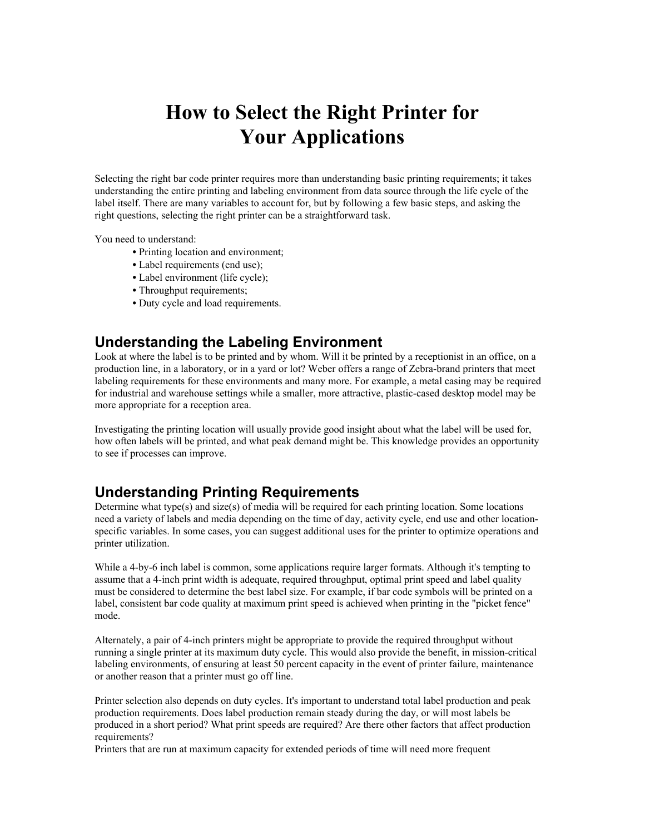# **How to Select the Right Printer for Your Applications**

Selecting the right bar code printer requires more than understanding basic printing requirements; it takes understanding the entire printing and labeling environment from data source through the life cycle of the label itself. There are many variables to account for, but by following a few basic steps, and asking the right questions, selecting the right printer can be a straightforward task.

You need to understand:

- Printing location and environment;
- Label requirements (end use);
- Label environment (life cycle);
- Throughput requirements;
- Duty cycle and load requirements.

### **Understanding the Labeling Environment**

Look at where the label is to be printed and by whom. Will it be printed by a receptionist in an office, on a production line, in a laboratory, or in a yard or lot? Weber offers a range of Zebra-brand printers that meet labeling requirements for these environments and many more. For example, a metal casing may be required for industrial and warehouse settings while a smaller, more attractive, plastic-cased desktop model may be more appropriate for a reception area.

Investigating the printing location will usually provide good insight about what the label will be used for, how often labels will be printed, and what peak demand might be. This knowledge provides an opportunity to see if processes can improve.

### **Understanding Printing Requirements**

Determine what type(s) and size(s) of media will be required for each printing location. Some locations need a variety of labels and media depending on the time of day, activity cycle, end use and other locationspecific variables. In some cases, you can suggest additional uses for the printer to optimize operations and printer utilization.

While a 4-by-6 inch label is common, some applications require larger formats. Although it's tempting to assume that a 4-inch print width is adequate, required throughput, optimal print speed and label quality must be considered to determine the best label size. For example, if bar code symbols will be printed on a label, consistent bar code quality at maximum print speed is achieved when printing in the "picket fence" mode.

Alternately, a pair of 4-inch printers might be appropriate to provide the required throughput without running a single printer at its maximum duty cycle. This would also provide the benefit, in mission-critical labeling environments, of ensuring at least 50 percent capacity in the event of printer failure, maintenance or another reason that a printer must go off line.

Printer selection also depends on duty cycles. It's important to understand total label production and peak production requirements. Does label production remain steady during the day, or will most labels be produced in a short period? What print speeds are required? Are there other factors that affect production requirements?

Printers that are run at maximum capacity for extended periods of time will need more frequent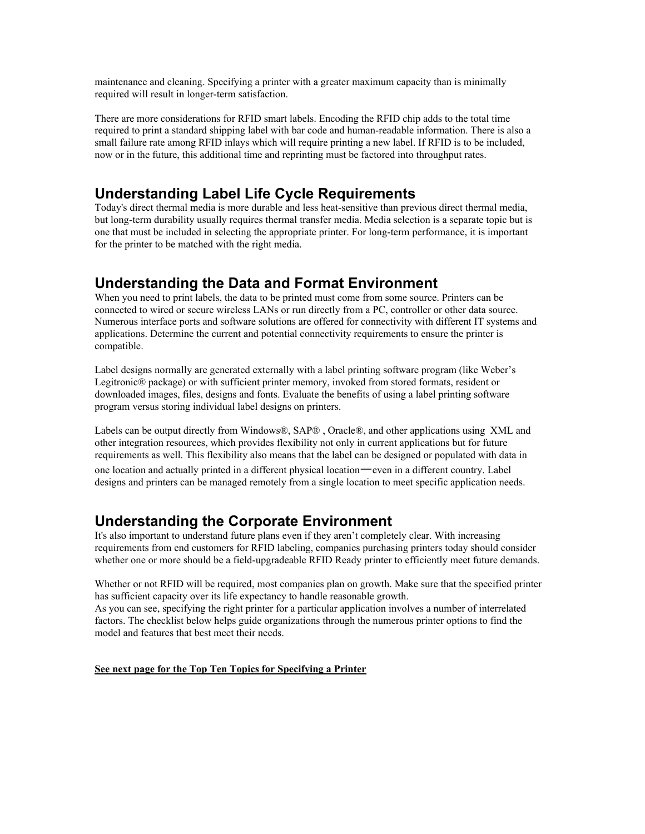maintenance and cleaning. Specifying a printer with a greater maximum capacity than is minimally required will result in longer-term satisfaction.

There are more considerations for RFID smart labels. Encoding the RFID chip adds to the total time required to print a standard shipping label with bar code and human-readable information. There is also a small failure rate among RFID inlays which will require printing a new label. If RFID is to be included, now or in the future, this additional time and reprinting must be factored into throughput rates.

### **Understanding Label Life Cycle Requirements**

Today's direct thermal media is more durable and less heat-sensitive than previous direct thermal media, but long-term durability usually requires thermal transfer media. Media selection is a separate topic but is one that must be included in selecting the appropriate printer. For long-term performance, it is important for the printer to be matched with the right media.

### **Understanding the Data and Format Environment**

When you need to print labels, the data to be printed must come from some source. Printers can be connected to wired or secure wireless LANs or run directly from a PC, controller or other data source. Numerous interface ports and software solutions are offered for connectivity with different IT systems and applications. Determine the current and potential connectivity requirements to ensure the printer is compatible.

Label designs normally are generated externally with a label printing software program (like Weber's Legitronic® package) or with sufficient printer memory, invoked from stored formats, resident or downloaded images, files, designs and fonts. Evaluate the benefits of using a label printing software program versus storing individual label designs on printers.

Labels can be output directly from Windows®, SAP® , Oracle®, and other applications using XML and other integration resources, which provides flexibility not only in current applications but for future requirements as well. This flexibility also means that the label can be designed or populated with data in

one location and actually printed in a different physical location—even in a different country. Label designs and printers can be managed remotely from a single location to meet specific application needs.

### **Understanding the Corporate Environment**

It's also important to understand future plans even if they aren't completely clear. With increasing requirements from end customers for RFID labeling, companies purchasing printers today should consider whether one or more should be a field-upgradeable RFID Ready printer to efficiently meet future demands.

Whether or not RFID will be required, most companies plan on growth. Make sure that the specified printer has sufficient capacity over its life expectancy to handle reasonable growth.

As you can see, specifying the right printer for a particular application involves a number of interrelated factors. The checklist below helps guide organizations through the numerous printer options to find the model and features that best meet their needs.

#### **See next page for the Top Ten Topics for Specifying a Printer**